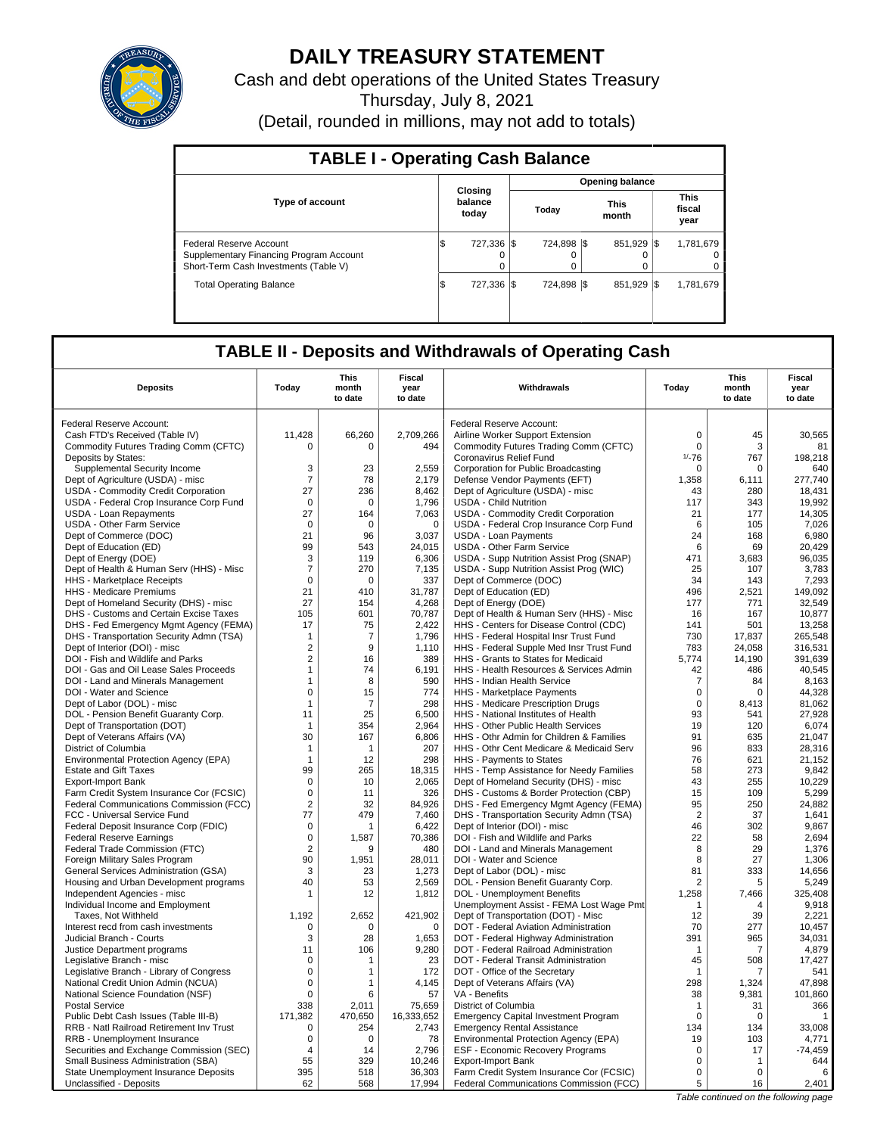

# **DAILY TREASURY STATEMENT**

Cash and debt operations of the United States Treasury

Thursday, July 8, 2021

(Detail, rounded in millions, may not add to totals)

| <b>TABLE I - Operating Cash Balance</b>                                                                     |     |                             |                        |                  |  |               |      |                               |  |  |  |
|-------------------------------------------------------------------------------------------------------------|-----|-----------------------------|------------------------|------------------|--|---------------|------|-------------------------------|--|--|--|
|                                                                                                             |     |                             | <b>Opening balance</b> |                  |  |               |      |                               |  |  |  |
| <b>Type of account</b>                                                                                      |     | Closina<br>balance<br>today |                        | Today            |  | This<br>month |      | <b>This</b><br>fiscal<br>year |  |  |  |
| Federal Reserve Account<br>Supplementary Financing Program Account<br>Short-Term Cash Investments (Table V) | IS  | 727.336 \$<br>$\Omega$      |                        | 724.898 \\$<br>0 |  | 851,929       | -1\$ | 1,781,679<br>0<br>0           |  |  |  |
| <b>Total Operating Balance</b>                                                                              | l\$ | 727.336 \\$                 |                        | 724.898 \\$      |  | 851.929 \\$   |      | 1.781.679                     |  |  |  |

## **TABLE II - Deposits and Withdrawals of Operating Cash**

| <b>Deposits</b>                                                       | Today                         | This<br>month<br>to date | Fiscal<br>year<br>to date | Withdrawals                                                                        | Today                | <b>This</b><br>month<br>to date | <b>Fiscal</b><br>year<br>to date |
|-----------------------------------------------------------------------|-------------------------------|--------------------------|---------------------------|------------------------------------------------------------------------------------|----------------------|---------------------------------|----------------------------------|
| Federal Reserve Account:                                              |                               |                          |                           | Federal Reserve Account:                                                           |                      |                                 |                                  |
| Cash FTD's Received (Table IV)                                        | 11.428                        | 66,260                   | 2,709,266                 | Airline Worker Support Extension                                                   | $\mathbf 0$          | 45                              | 30,565                           |
| Commodity Futures Trading Comm (CFTC)                                 | 0                             | 0                        | 494                       | Commodity Futures Trading Comm (CFTC)                                              | $\mathbf 0$          | 3                               | 81                               |
| Deposits by States:                                                   |                               |                          |                           | Coronavirus Relief Fund                                                            | $1/-76$              | 767                             | 198,218                          |
| Supplemental Security Income                                          | 3                             | 23                       | 2.559                     | Corporation for Public Broadcasting                                                | $\mathbf 0$          | $\mathbf 0$                     | 640                              |
| Dept of Agriculture (USDA) - misc                                     | $\overline{7}$                | 78                       | 2,179                     | Defense Vendor Payments (EFT)                                                      | 1,358                | 6,111                           | 277,740                          |
| USDA - Commodity Credit Corporation                                   | 27                            | 236                      | 8,462                     | Dept of Agriculture (USDA) - misc                                                  | 43                   | 280                             | 18,431                           |
| USDA - Federal Crop Insurance Corp Fund                               | $\mathbf 0$                   | $\mathbf 0$              | 1,796                     | <b>USDA - Child Nutrition</b>                                                      | 117                  | 343                             | 19,992                           |
| <b>USDA - Loan Repayments</b>                                         | 27                            | 164                      | 7,063                     | USDA - Commodity Credit Corporation                                                | 21                   | 177                             | 14,305                           |
| <b>USDA - Other Farm Service</b>                                      | $\mathbf 0$                   | $\mathbf 0$              | $\mathbf 0$               | USDA - Federal Crop Insurance Corp Fund                                            | 6                    | 105                             | 7,026                            |
| Dept of Commerce (DOC)                                                | 21                            | 96                       | 3,037                     | <b>USDA - Loan Payments</b>                                                        | 24                   | 168                             | 6,980                            |
| Dept of Education (ED)                                                | 99                            | 543                      | 24,015                    | <b>USDA - Other Farm Service</b>                                                   | 6                    | 69                              | 20,429                           |
| Dept of Energy (DOE)                                                  | 3                             | 119                      | 6,306                     | USDA - Supp Nutrition Assist Prog (SNAP)                                           | 471                  | 3,683                           | 96,035                           |
| Dept of Health & Human Serv (HHS) - Misc                              | $\overline{7}$                | 270                      | 7,135                     | USDA - Supp Nutrition Assist Prog (WIC)                                            | 25                   | 107                             | 3.783                            |
| HHS - Marketplace Receipts                                            | $\mathsf 0$                   | 0                        | 337                       | Dept of Commerce (DOC)                                                             | 34                   | 143                             | 7,293                            |
| HHS - Medicare Premiums                                               | 21                            | 410                      | 31,787                    | Dept of Education (ED)                                                             | 496                  | 2,521                           | 149,092                          |
| Dept of Homeland Security (DHS) - misc                                | 27                            | 154                      | 4,268                     | Dept of Energy (DOE)                                                               | 177                  | 771                             | 32,549                           |
| DHS - Customs and Certain Excise Taxes                                | 105                           | 601                      | 70,787                    | Dept of Health & Human Serv (HHS) - Misc                                           | 16                   | 167                             | 10,877                           |
| DHS - Fed Emergency Mgmt Agency (FEMA)                                | 17                            | 75                       | 2.422                     | HHS - Centers for Disease Control (CDC)                                            | 141                  | 501                             | 13,258                           |
| DHS - Transportation Security Admn (TSA)                              | $\mathbf{1}$                  | 7                        | 1,796                     | HHS - Federal Hospital Insr Trust Fund                                             | 730                  | 17,837                          | 265,548                          |
| Dept of Interior (DOI) - misc                                         | $\overline{2}$                | 9                        | 1,110                     | HHS - Federal Supple Med Insr Trust Fund                                           | 783                  | 24.058                          | 316,531                          |
| DOI - Fish and Wildlife and Parks                                     | $\sqrt{2}$                    | 16                       | 389                       | HHS - Grants to States for Medicaid                                                | 5,774                | 14,190                          | 391,639                          |
| DOI - Gas and Oil Lease Sales Proceeds                                | $\mathbf{1}$                  | 74                       | 6,191                     | HHS - Health Resources & Services Admin                                            | 42                   | 486                             | 40,545                           |
| DOI - Land and Minerals Management                                    | $\mathbf{1}$                  | 8                        | 590                       | HHS - Indian Health Service                                                        | $\overline{7}$       | 84                              | 8,163                            |
| DOI - Water and Science                                               | $\mathbf 0$                   | 15                       | 774                       | HHS - Marketplace Payments                                                         | $\mathbf 0$          | $\Omega$                        | 44,328                           |
| Dept of Labor (DOL) - misc                                            | $\mathbf{1}$                  | $\overline{7}$           | 298                       | HHS - Medicare Prescription Drugs                                                  | $\mathbf 0$          | 8,413                           | 81,062                           |
| DOL - Pension Benefit Guaranty Corp.                                  | 11                            | 25                       | 6,500                     | HHS - National Institutes of Health                                                | 93                   | 541                             | 27,928                           |
| Dept of Transportation (DOT)                                          | $\mathbf{1}$                  | 354                      | 2.964                     | HHS - Other Public Health Services                                                 | 19                   | 120                             | 6,074                            |
| Dept of Veterans Affairs (VA)                                         | 30                            | 167                      | 6.806                     | HHS - Othr Admin for Children & Families                                           | 91                   | 635                             | 21.047                           |
| District of Columbia                                                  | $\mathbf{1}$                  | 1                        | 207                       | HHS - Othr Cent Medicare & Medicaid Serv                                           | 96                   | 833                             | 28,316                           |
| Environmental Protection Agency (EPA)                                 | $\mathbf{1}$                  | 12                       | 298                       | HHS - Payments to States                                                           | 76                   | 621                             | 21.152                           |
| <b>Estate and Gift Taxes</b>                                          | 99                            | 265                      | 18,315                    | HHS - Temp Assistance for Needy Families                                           | 58                   | 273                             | 9,842                            |
| <b>Export-Import Bank</b>                                             | $\mathsf 0$                   | 10                       | 2,065                     | Dept of Homeland Security (DHS) - misc                                             | 43                   | 255                             | 10,229                           |
| Farm Credit System Insurance Cor (FCSIC)                              | $\mathbf 0$<br>$\overline{2}$ | 11                       | 326                       | DHS - Customs & Border Protection (CBP)                                            | 15                   | 109                             | 5,299<br>24,882                  |
| Federal Communications Commission (FCC)                               | 77                            | 32<br>479                | 84,926<br>7,460           | DHS - Fed Emergency Mgmt Agency (FEMA)<br>DHS - Transportation Security Admn (TSA) | 95<br>$\overline{2}$ | 250<br>37                       | 1,641                            |
| FCC - Universal Service Fund<br>Federal Deposit Insurance Corp (FDIC) | $\mathbf 0$                   | 1                        | 6,422                     | Dept of Interior (DOI) - misc                                                      | 46                   | 302                             | 9,867                            |
| <b>Federal Reserve Earnings</b>                                       | $\mathbf 0$                   | 1,587                    | 70,386                    | DOI - Fish and Wildlife and Parks                                                  | 22                   | 58                              | 2,694                            |
| Federal Trade Commission (FTC)                                        | $\overline{2}$                | 9                        | 480                       | DOI - Land and Minerals Management                                                 | 8                    | 29                              | 1,376                            |
| Foreign Military Sales Program                                        | 90                            | 1.951                    | 28,011                    | DOI - Water and Science                                                            | 8                    | 27                              | 1,306                            |
| General Services Administration (GSA)                                 | 3                             | 23                       | 1,273                     | Dept of Labor (DOL) - misc                                                         | 81                   | 333                             | 14,656                           |
| Housing and Urban Development programs                                | 40                            | 53                       | 2,569                     | DOL - Pension Benefit Guaranty Corp.                                               | $\overline{2}$       | 5                               | 5,249                            |
| Independent Agencies - misc                                           | -1                            | 12                       | 1,812                     | DOL - Unemployment Benefits                                                        | 1,258                | 7,466                           | 325,408                          |
| Individual Income and Employment                                      |                               |                          |                           | Unemployment Assist - FEMA Lost Wage Pmt                                           | $\mathbf{1}$         | $\overline{4}$                  | 9,918                            |
| Taxes, Not Withheld                                                   | 1,192                         | 2,652                    | 421,902                   | Dept of Transportation (DOT) - Misc                                                | 12                   | 39                              | 2,221                            |
| Interest recd from cash investments                                   | 0                             | 0                        | $\mathbf 0$               | DOT - Federal Aviation Administration                                              | 70                   | 277                             | 10,457                           |
| Judicial Branch - Courts                                              | 3                             | 28                       | 1,653                     | DOT - Federal Highway Administration                                               | 391                  | 965                             | 34.031                           |
| Justice Department programs                                           | 11                            | 106                      | 9,280                     | DOT - Federal Railroad Administration                                              | $\overline{1}$       | $\overline{7}$                  | 4,879                            |
| Legislative Branch - misc                                             | $\Omega$                      | 1                        | 23                        | DOT - Federal Transit Administration                                               | 45                   | 508                             | 17,427                           |
| Legislative Branch - Library of Congress                              | $\mathsf 0$                   | 1                        | 172                       | DOT - Office of the Secretary                                                      | $\mathbf{1}$         | 7                               | 541                              |
| National Credit Union Admin (NCUA)                                    | 0                             | 1                        | 4,145                     | Dept of Veterans Affairs (VA)                                                      | 298                  | 1,324                           | 47,898                           |
| National Science Foundation (NSF)                                     | $\mathbf 0$                   | 6                        | 57                        | VA - Benefits                                                                      | 38                   | 9,381                           | 101,860                          |
| <b>Postal Service</b>                                                 | 338                           | 2,011                    | 75,659                    | District of Columbia                                                               | $\mathbf{1}$         | 31                              | 366                              |
| Public Debt Cash Issues (Table III-B)                                 | 171,382                       | 470,650                  | 16,333,652                | <b>Emergency Capital Investment Program</b>                                        | $\mathbf 0$          | $\mathbf 0$                     | 1                                |
| RRB - Natl Railroad Retirement Inv Trust                              | $\mathbf 0$                   | 254                      | 2,743                     | <b>Emergency Rental Assistance</b>                                                 | 134                  | 134                             | 33,008                           |
| RRB - Unemployment Insurance                                          | 0                             | $\mathbf 0$              | 78                        | Environmental Protection Agency (EPA)                                              | 19                   | 103                             | 4,771                            |
| Securities and Exchange Commission (SEC)                              | $\overline{4}$                | 14                       | 2,796                     | ESF - Economic Recovery Programs                                                   | 0                    | 17                              | $-74,459$                        |
| Small Business Administration (SBA)                                   | 55                            | 329                      | 10,246                    | <b>Export-Import Bank</b>                                                          | 0                    | 1                               | 644                              |
| State Unemployment Insurance Deposits                                 | 395                           | 518                      | 36,303                    | Farm Credit System Insurance Cor (FCSIC)                                           | $\mathbf 0$          | $\mathbf 0$                     | 6                                |
| Unclassified - Deposits                                               | 62                            | 568                      | 17,994                    | Federal Communications Commission (FCC)                                            | 5                    | 16                              | 2,401                            |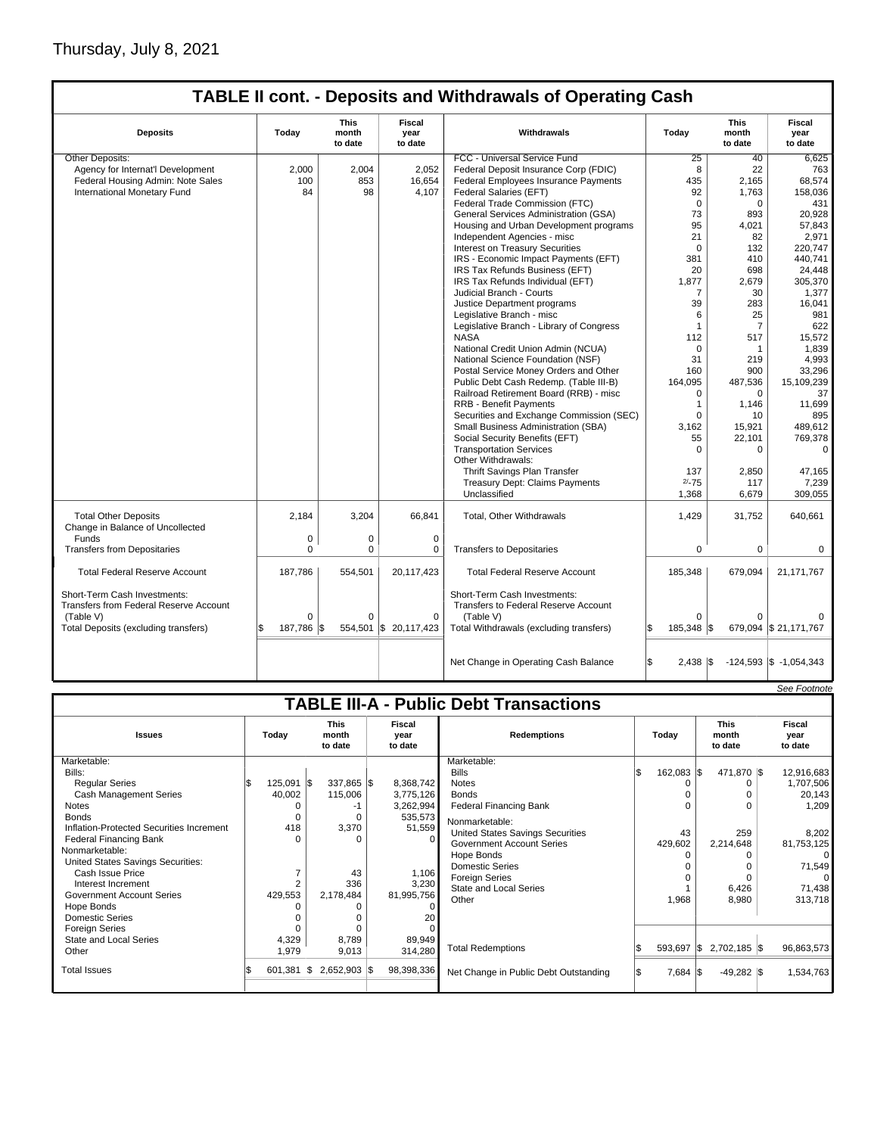# Thursday, July 8, 2021

 $\sqrt{ }$ 

## **TABLE II cont. - Deposits and Withdrawals of Operating Cash**

| <b>Deposits</b>                                                                                                             | Today                      | <b>This</b><br>month<br>to date | <b>Fiscal</b><br>year<br>to date   | Withdrawals                                                                                                                  | Today                        | <b>This</b><br>month<br>to date | Fiscal<br>year<br>to date  |
|-----------------------------------------------------------------------------------------------------------------------------|----------------------------|---------------------------------|------------------------------------|------------------------------------------------------------------------------------------------------------------------------|------------------------------|---------------------------------|----------------------------|
| Other Deposits:                                                                                                             |                            |                                 |                                    | FCC - Universal Service Fund                                                                                                 | 25                           | 40                              | 6,625                      |
| Agency for Internat'l Development                                                                                           | 2.000                      | 2,004                           | 2,052                              | Federal Deposit Insurance Corp (FDIC)                                                                                        | 8                            | 22                              | 763                        |
| Federal Housing Admin: Note Sales                                                                                           | 100                        | 853                             | 16,654                             | Federal Employees Insurance Payments                                                                                         | 435                          | 2,165                           | 68,574                     |
| International Monetary Fund                                                                                                 | 84                         | 98                              | 4,107                              | Federal Salaries (EFT)                                                                                                       | 92                           | 1,763                           | 158,036                    |
|                                                                                                                             |                            |                                 |                                    | Federal Trade Commission (FTC)                                                                                               | $\mathbf 0$                  | $\mathbf 0$                     | 431                        |
|                                                                                                                             |                            |                                 |                                    | General Services Administration (GSA)                                                                                        | 73                           | 893                             | 20,928                     |
|                                                                                                                             |                            |                                 |                                    | Housing and Urban Development programs                                                                                       | 95                           | 4,021                           | 57,843                     |
|                                                                                                                             |                            |                                 |                                    | Independent Agencies - misc                                                                                                  | 21                           | 82                              | 2,971                      |
|                                                                                                                             |                            |                                 |                                    | Interest on Treasury Securities                                                                                              | $\Omega$                     | 132                             | 220.747                    |
|                                                                                                                             |                            |                                 |                                    | IRS - Economic Impact Payments (EFT)                                                                                         | 381                          | 410                             | 440,741                    |
|                                                                                                                             |                            |                                 |                                    | IRS Tax Refunds Business (EFT)                                                                                               | 20                           | 698                             | 24,448                     |
|                                                                                                                             |                            |                                 |                                    | IRS Tax Refunds Individual (EFT)                                                                                             | 1,877                        | 2,679                           | 305,370                    |
|                                                                                                                             |                            |                                 |                                    | Judicial Branch - Courts                                                                                                     | $\overline{7}$               | 30                              | 1,377                      |
|                                                                                                                             |                            |                                 |                                    | Justice Department programs                                                                                                  | 39                           | 283                             | 16.041                     |
|                                                                                                                             |                            |                                 |                                    | Legislative Branch - misc                                                                                                    | 6                            | 25                              | 981                        |
|                                                                                                                             |                            |                                 |                                    | Legislative Branch - Library of Congress                                                                                     | 1                            | $\overline{7}$                  | 622                        |
|                                                                                                                             |                            |                                 |                                    | <b>NASA</b>                                                                                                                  | 112                          | 517                             | 15,572                     |
|                                                                                                                             |                            |                                 |                                    | National Credit Union Admin (NCUA)                                                                                           | $\mathbf 0$                  | $\mathbf{1}$                    | 1,839                      |
|                                                                                                                             |                            |                                 |                                    | National Science Foundation (NSF)                                                                                            | 31                           | 219                             | 4,993                      |
|                                                                                                                             |                            |                                 |                                    | Postal Service Money Orders and Other                                                                                        | 160                          | 900                             | 33,296                     |
|                                                                                                                             |                            |                                 |                                    | Public Debt Cash Redemp. (Table III-B)                                                                                       | 164,095                      | 487,536                         | 15,109,239                 |
|                                                                                                                             |                            |                                 |                                    | Railroad Retirement Board (RRB) - misc                                                                                       | 0                            | $\mathbf 0$                     | 37                         |
|                                                                                                                             |                            |                                 |                                    | <b>RRB - Benefit Payments</b>                                                                                                | $\mathbf{1}$                 | 1,146                           | 11,699                     |
|                                                                                                                             |                            |                                 |                                    | Securities and Exchange Commission (SEC)                                                                                     | $\Omega$                     | 10                              | 895                        |
|                                                                                                                             |                            |                                 |                                    | Small Business Administration (SBA)                                                                                          | 3,162                        | 15,921                          | 489,612                    |
|                                                                                                                             |                            |                                 |                                    | Social Security Benefits (EFT)                                                                                               | 55                           | 22,101                          | 769,378                    |
|                                                                                                                             |                            |                                 |                                    | <b>Transportation Services</b>                                                                                               | $\Omega$                     | $\Omega$                        | $\Omega$                   |
|                                                                                                                             |                            |                                 |                                    | Other Withdrawals:                                                                                                           |                              |                                 |                            |
|                                                                                                                             |                            |                                 |                                    | Thrift Savings Plan Transfer                                                                                                 | 137                          | 2,850                           | 47,165                     |
|                                                                                                                             |                            |                                 |                                    | <b>Treasury Dept: Claims Payments</b>                                                                                        | $2/-75$                      | 117                             | 7,239                      |
|                                                                                                                             |                            |                                 |                                    | Unclassified                                                                                                                 | 1,368                        | 6,679                           | 309.055                    |
| <b>Total Other Deposits</b><br>Change in Balance of Uncollected                                                             | 2.184                      | 3,204                           | 66,841                             | Total, Other Withdrawals                                                                                                     | 1,429                        | 31,752                          | 640,661                    |
| Funds                                                                                                                       | $\mathbf 0$                | $\mathbf 0$                     | $\mathbf 0$                        |                                                                                                                              |                              |                                 |                            |
| <b>Transfers from Depositaries</b>                                                                                          | $\Omega$                   | $\mathbf 0$                     | $\mathbf 0$                        | <b>Transfers to Depositaries</b>                                                                                             | 0                            | $\mathbf 0$                     | $\mathbf 0$                |
| <b>Total Federal Reserve Account</b>                                                                                        | 187.786                    | 554,501                         | 20,117,423                         | <b>Total Federal Reserve Account</b>                                                                                         | 185,348                      | 679,094                         | 21, 171, 767               |
| Short-Term Cash Investments:<br>Transfers from Federal Reserve Account<br>(Table V)<br>Total Deposits (excluding transfers) | $\Omega$<br>187,786<br>l\$ | $\Omega$<br>554,501<br>I\$      | $\Omega$<br>$\frac{1}{20,117,423}$ | Short-Term Cash Investments:<br>Transfers to Federal Reserve Account<br>(Table V)<br>Total Withdrawals (excluding transfers) | $\Omega$<br>185,348 \$<br>Ŝ. | $\Omega$                        | 679,094 \$21,171,767       |
|                                                                                                                             |                            |                                 |                                    | Net Change in Operating Cash Balance                                                                                         | $2,438$ \\$                  |                                 | $-124,593$ \$ $-1,054,343$ |

|                                                                                                                                                                                                                                                                                                                                                                                                                         |                                                            |     |                                                                                            |                                                                                                                                 |                                                                                                                                                                                                                                                                                                                                      |     |                                                  |                                                          |                       | See Footnote                                                                                                   |
|-------------------------------------------------------------------------------------------------------------------------------------------------------------------------------------------------------------------------------------------------------------------------------------------------------------------------------------------------------------------------------------------------------------------------|------------------------------------------------------------|-----|--------------------------------------------------------------------------------------------|---------------------------------------------------------------------------------------------------------------------------------|--------------------------------------------------------------------------------------------------------------------------------------------------------------------------------------------------------------------------------------------------------------------------------------------------------------------------------------|-----|--------------------------------------------------|----------------------------------------------------------|-----------------------|----------------------------------------------------------------------------------------------------------------|
|                                                                                                                                                                                                                                                                                                                                                                                                                         |                                                            |     |                                                                                            |                                                                                                                                 | <b>TABLE III-A - Public Debt Transactions</b>                                                                                                                                                                                                                                                                                        |     |                                                  |                                                          |                       |                                                                                                                |
| <b>Issues</b>                                                                                                                                                                                                                                                                                                                                                                                                           | Today                                                      |     | <b>This</b><br>month<br>to date                                                            | Fiscal<br>vear<br>to date                                                                                                       | <b>Redemptions</b>                                                                                                                                                                                                                                                                                                                   |     | Today                                            | <b>This</b><br>month<br>to date                          |                       | Fiscal<br>year<br>to date                                                                                      |
| Marketable:<br>Bills:<br><b>Regular Series</b><br><b>Cash Management Series</b><br><b>Notes</b><br><b>Bonds</b><br>Inflation-Protected Securities Increment<br>Federal Financing Bank<br>Nonmarketable:<br>United States Savings Securities:<br>Cash Issue Price<br>Interest Increment<br><b>Government Account Series</b><br>Hope Bonds<br>Domestic Series<br><b>Foreign Series</b><br>State and Local Series<br>Other | $125,091$ \$<br>40,002<br>418<br>429,553<br>4,329<br>1,979 |     | 337,865 \$<br>115,006<br>-1<br>0<br>3,370<br>O<br>43<br>336<br>2,178,484<br>8.789<br>9,013 | 8,368,742<br>3,775,126<br>3,262,994<br>535,573<br>51,559<br>1,106<br>3,230<br>81,995,756<br>$\Omega$<br>20<br>89,949<br>314,280 | Marketable:<br><b>Bills</b><br><b>Notes</b><br><b>Bonds</b><br><b>Federal Financing Bank</b><br>Nonmarketable:<br><b>United States Savings Securities</b><br><b>Government Account Series</b><br>Hope Bonds<br><b>Domestic Series</b><br><b>Foreign Series</b><br><b>State and Local Series</b><br>Other<br><b>Total Redemptions</b> |     | 162,083  \$<br>43<br>429,602<br>1,968<br>593,697 | 471,870 \$<br>2,214,648<br>I\$<br>$2,702,185$ $\sqrt{3}$ | 259<br>6,426<br>8,980 | 12,916,683<br>1,707,506<br>20,143<br>1,209<br>8,202<br>81,753,125<br>71,549<br>71,438<br>313,718<br>96,863,573 |
| <b>Total Issues</b>                                                                                                                                                                                                                                                                                                                                                                                                     | 601,381                                                    | IS. | $2,652,903$ \$                                                                             | 98,398,336                                                                                                                      | Net Change in Public Debt Outstanding                                                                                                                                                                                                                                                                                                | l\$ | $7,684$ \\$                                      |                                                          | $-49,282$ \\$         | 1,534,763                                                                                                      |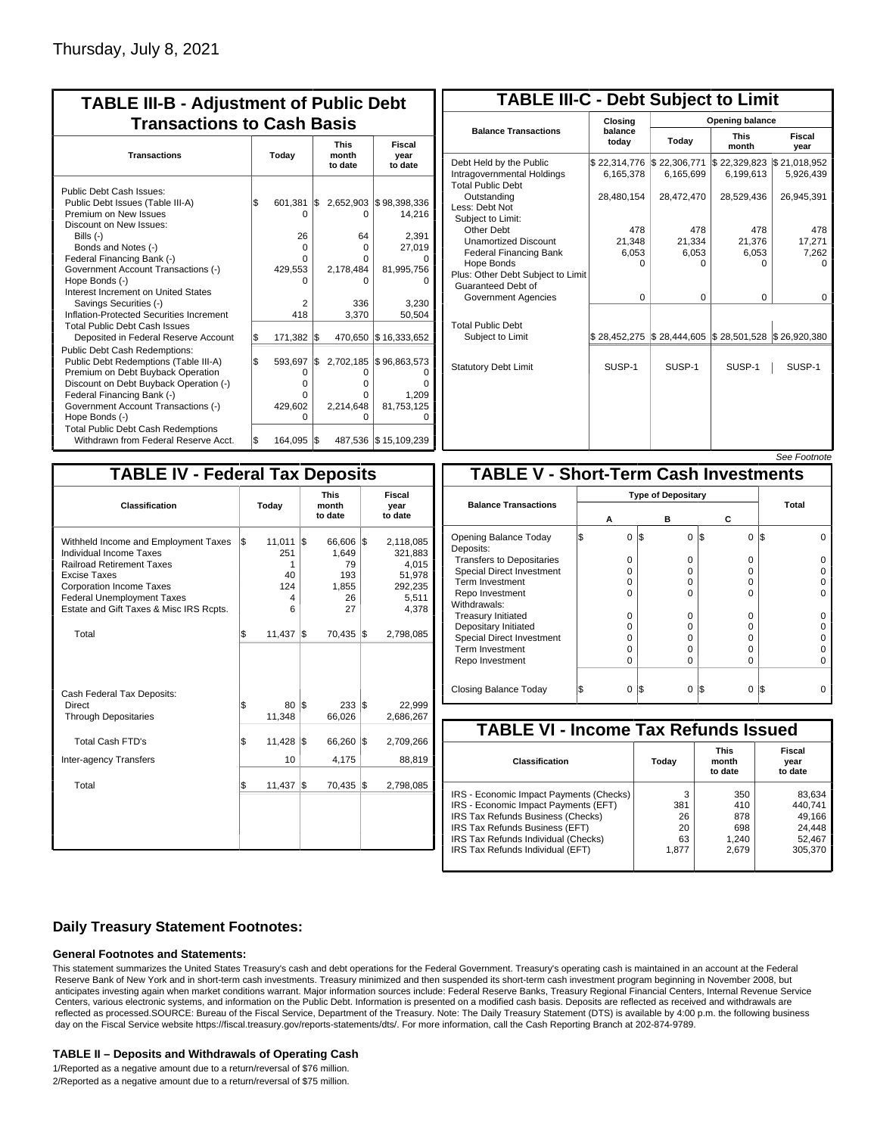| <b>TABLE III-B - Adjustment of Public Debt</b><br><b>Transactions to Cash Basis</b>                                                                                                                                                                                                                                                                                                              |       |                                                            |     |                                                     |                                                                                      |  |  |  |                                 |  |                           |
|--------------------------------------------------------------------------------------------------------------------------------------------------------------------------------------------------------------------------------------------------------------------------------------------------------------------------------------------------------------------------------------------------|-------|------------------------------------------------------------|-----|-----------------------------------------------------|--------------------------------------------------------------------------------------|--|--|--|---------------------------------|--|---------------------------|
| <b>Transactions</b>                                                                                                                                                                                                                                                                                                                                                                              | Today |                                                            |     |                                                     |                                                                                      |  |  |  | <b>This</b><br>month<br>to date |  | Fiscal<br>year<br>to date |
| Public Debt Cash Issues:<br>Public Debt Issues (Table III-A)<br>Premium on New Issues<br>Discount on New Issues:<br>Bills (-)<br>Bonds and Notes (-)<br>Federal Financing Bank (-)<br>Government Account Transactions (-)<br>Hope Bonds (-)<br>Interest Increment on United States<br>Savings Securities (-)<br>Inflation-Protected Securities Increment<br><b>Total Public Debt Cash Issues</b> | 1\$   | 601,381<br>O<br>26<br>$\Omega$<br>0<br>429,553<br>2<br>418 | 1\$ | 0<br>64<br>O<br>o<br>2,178,484<br>n<br>336<br>3,370 | 2,652,903 \$98,398,336<br>14,216<br>2,391<br>27,019<br>81,995,756<br>3.230<br>50,504 |  |  |  |                                 |  |                           |
| Deposited in Federal Reserve Account                                                                                                                                                                                                                                                                                                                                                             | \$    | 171,382                                                    | l\$ | 470,650                                             | \$16,333,652                                                                         |  |  |  |                                 |  |                           |
| Public Debt Cash Redemptions:<br>Public Debt Redemptions (Table III-A)<br>Premium on Debt Buyback Operation<br>Discount on Debt Buyback Operation (-)<br>Federal Financing Bank (-)<br>Government Account Transactions (-)<br>Hope Bonds (-)                                                                                                                                                     | \$    | 593,697<br>0<br>$\Omega$<br>0<br>429,602<br>O              | I\$ | 2,702,185<br>O<br>o<br>n<br>2,214,648<br>ი          | \$96,863,573<br>ŋ<br>1.209<br>81,753,125<br>O                                        |  |  |  |                                 |  |                           |
| <b>Total Public Debt Cash Redemptions</b><br>Withdrawn from Federal Reserve Acct.                                                                                                                                                                                                                                                                                                                | \$    | 164,095                                                    | I\$ |                                                     | 487,536 \$15,109,239                                                                 |  |  |  |                                 |  |                           |

| <b>TABLE III-C - Debt Subject to Limit</b>                                        |                           |                           |                           |                           |  |  |  |  |  |  |
|-----------------------------------------------------------------------------------|---------------------------|---------------------------|---------------------------|---------------------------|--|--|--|--|--|--|
|                                                                                   | Closing                   | <b>Opening balance</b>    |                           |                           |  |  |  |  |  |  |
| <b>Balance Transactions</b>                                                       | balance<br>todav          | Today                     | <b>This</b><br>month      | Fiscal<br>year            |  |  |  |  |  |  |
| Debt Held by the Public<br>Intragovernmental Holdings<br><b>Total Public Debt</b> | \$22,314,776<br>6,165,378 | \$22,306,771<br>6,165,699 | \$22,329,823<br>6,199,613 | \$21,018,952<br>5,926,439 |  |  |  |  |  |  |
| Outstanding<br>Less: Debt Not<br>Subiect to Limit:                                | 28,480,154                | 28,472,470                | 28,529,436                | 26,945,391                |  |  |  |  |  |  |
| Other Debt                                                                        | 478                       | 478                       | 478                       | 478                       |  |  |  |  |  |  |
| <b>Unamortized Discount</b>                                                       | 21.348                    | 21.334                    | 21,376                    | 17,271                    |  |  |  |  |  |  |
| <b>Federal Financing Bank</b>                                                     | 6,053                     | 6,053                     | 6,053                     | 7,262                     |  |  |  |  |  |  |
| Hope Bonds<br>Plus: Other Debt Subject to Limit<br>Guaranteed Debt of             | $\Omega$                  | O                         | O                         | n                         |  |  |  |  |  |  |
| Government Agencies                                                               | $\Omega$                  | $\Omega$                  | 0                         | $\Omega$                  |  |  |  |  |  |  |
| <b>Total Public Debt</b><br>Subject to Limit                                      | \$28,452,275              | \$28,444,605              | \$28,501,528              | \$26,920,380              |  |  |  |  |  |  |
| <b>Statutory Debt Limit</b>                                                       | SUSP-1                    | SUSP-1                    | SUSP-1                    | SUSP-1                    |  |  |  |  |  |  |
|                                                                                   |                           |                           |                           |                           |  |  |  |  |  |  |

| See Footnote |
|--------------|
|--------------|

| <b>TABLE IV - Federal Tax Deposits</b>                                                                                                                                                                                                        |     |                                           |     |                                                      |     |                                                                      |  |  |  |
|-----------------------------------------------------------------------------------------------------------------------------------------------------------------------------------------------------------------------------------------------|-----|-------------------------------------------|-----|------------------------------------------------------|-----|----------------------------------------------------------------------|--|--|--|
| Classification                                                                                                                                                                                                                                |     | Today                                     |     | <b>This</b><br>month<br>to date                      |     | Fiscal<br>year<br>to date                                            |  |  |  |
| Withheld Income and Employment Taxes<br><b>Individual Income Taxes</b><br><b>Railroad Retirement Taxes</b><br>Excise Taxes<br><b>Corporation Income Taxes</b><br><b>Federal Unemployment Taxes</b><br>Estate and Gift Taxes & Misc IRS Rcpts. | l\$ | 11,011<br>251<br>1<br>40<br>124<br>4<br>6 | l\$ | 66,606 \$<br>1,649<br>79<br>193<br>1,855<br>26<br>27 |     | 2,118,085<br>321,883<br>4,015<br>51,978<br>292,235<br>5,511<br>4,378 |  |  |  |
| Total                                                                                                                                                                                                                                         | \$  | 11,437                                    | 1\$ | 70,435                                               | l\$ | 2,798,085                                                            |  |  |  |
| Cash Federal Tax Deposits:<br>Direct<br><b>Through Depositaries</b>                                                                                                                                                                           | \$  | 80<br>11,348                              | 1\$ | $233  $ \$<br>66,026                                 |     | 22,999<br>2,686,267                                                  |  |  |  |
| <b>Total Cash FTD's</b><br><b>Inter-agency Transfers</b>                                                                                                                                                                                      | \$  | 11,428<br>10                              | 1\$ | 66,260<br>4,175                                      | 1\$ | 2,709,266<br>88,819                                                  |  |  |  |
| Total                                                                                                                                                                                                                                         | \$  | 11,437                                    | l\$ | 70,435                                               | 1\$ | 2,798,085                                                            |  |  |  |
|                                                                                                                                                                                                                                               |     |                                           |     |                                                      |     |                                                                      |  |  |  |

| <b>TABLE V - Short-Term Cash Investments</b> |   |                           |          |       |  |  |  |  |  |  |
|----------------------------------------------|---|---------------------------|----------|-------|--|--|--|--|--|--|
|                                              |   | <b>Type of Depositary</b> |          |       |  |  |  |  |  |  |
| <b>Balance Transactions</b>                  |   |                           |          | Total |  |  |  |  |  |  |
|                                              | А | в                         | С        |       |  |  |  |  |  |  |
| Opening Balance Today<br>Deposits:           | 0 | 0<br>1\$                  | 0<br>I\$ | IS    |  |  |  |  |  |  |
| <b>Transfers to Depositaries</b>             | O | 0                         | 0        |       |  |  |  |  |  |  |
| <b>Special Direct Investment</b>             | O | 0                         | 0        |       |  |  |  |  |  |  |
| Term Investment                              | O | 0                         | 0        |       |  |  |  |  |  |  |
| Repo Investment                              | n | U                         | O        |       |  |  |  |  |  |  |
| Withdrawals:                                 |   |                           |          |       |  |  |  |  |  |  |
| <b>Treasury Initiated</b>                    | O | 0                         | 0        |       |  |  |  |  |  |  |
| Depositary Initiated                         | O | ŋ                         | U        |       |  |  |  |  |  |  |
| <b>Special Direct Investment</b>             | O | 0                         | 0        |       |  |  |  |  |  |  |
| <b>Term Investment</b>                       | O | $\Omega$                  | 0        |       |  |  |  |  |  |  |
| Repo Investment                              | 0 | $\Omega$                  | 0        |       |  |  |  |  |  |  |
|                                              |   |                           |          |       |  |  |  |  |  |  |
| Closing Balance Today                        | 0 | $\Omega$<br>I\$           | I\$<br>0 | IS    |  |  |  |  |  |  |

| <b>TABLE VI - Income Tax Refunds Issued</b> |       |                                 |                           |  |  |  |  |  |  |  |
|---------------------------------------------|-------|---------------------------------|---------------------------|--|--|--|--|--|--|--|
| Classification                              | Today | <b>This</b><br>month<br>to date | Fiscal<br>year<br>to date |  |  |  |  |  |  |  |
| IRS - Economic Impact Payments (Checks)     | 3     | 350                             | 83,634                    |  |  |  |  |  |  |  |
| IRS - Economic Impact Payments (EFT)        | 381   | 410                             | 440.741                   |  |  |  |  |  |  |  |
| IRS Tax Refunds Business (Checks)           | 26    | 878                             | 49.166                    |  |  |  |  |  |  |  |
| IRS Tax Refunds Business (EFT)              | 20    | 698                             | 24,448                    |  |  |  |  |  |  |  |
| IRS Tax Refunds Individual (Checks)         | 63    | 1,240                           | 52,467                    |  |  |  |  |  |  |  |
| IRS Tax Refunds Individual (EFT)            | 1.877 | 2.679                           | 305,370                   |  |  |  |  |  |  |  |

## **Daily Treasury Statement Footnotes:**

### **General Footnotes and Statements:**

This statement summarizes the United States Treasury's cash and debt operations for the Federal Government. Treasury's operating cash is maintained in an account at the Federal Reserve Bank of New York and in short-term cash investments. Treasury minimized and then suspended its short-term cash investment program beginning in November 2008, but anticipates investing again when market conditions warrant. Major information sources include: Federal Reserve Banks, Treasury Regional Financial Centers, Internal Revenue Service Centers, various electronic systems, and information on the Public Debt. Information is presented on a modified cash basis. Deposits are reflected as received and withdrawals are reflected as processed.SOURCE: Bureau of the Fiscal Service, Department of the Treasury. Note: The Daily Treasury Statement (DTS) is available by 4:00 p.m. the following business day on the Fiscal Service website https://fiscal.treasury.gov/reports-statements/dts/. For more information, call the Cash Reporting Branch at 202-874-9789.

### **TABLE II – Deposits and Withdrawals of Operating Cash**

1/Reported as a negative amount due to a return/reversal of \$76 million. 2/Reported as a negative amount due to a return/reversal of \$75 million.